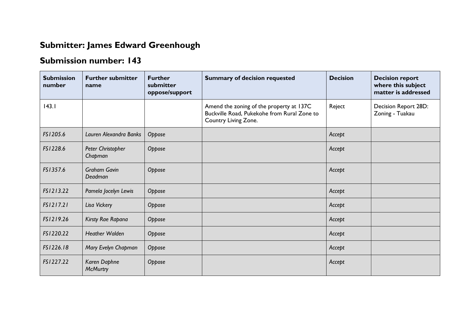## **Submitter: James Edward Greenhough**

## **Submission number: 143**

| <b>Submission</b><br>number | <b>Further submitter</b><br>name | <b>Further</b><br>submitter<br>oppose/support | <b>Summary of decision requested</b>                                                                            | <b>Decision</b> | <b>Decision report</b><br>where this subject<br>matter is addressed |
|-----------------------------|----------------------------------|-----------------------------------------------|-----------------------------------------------------------------------------------------------------------------|-----------------|---------------------------------------------------------------------|
| 143.1                       |                                  |                                               | Amend the zoning of the property at 137C<br>Buckville Road, Pukekohe from Rural Zone to<br>Country Living Zone. | Reject          | Decision Report 28D:<br>Zoning - Tuakau                             |
| FS1205.6                    | Lauren Alexandra Banks           | Oppose                                        |                                                                                                                 | Accept          |                                                                     |
| FS1228.6                    | Peter Christopher<br>Chapman     | Oppose                                        |                                                                                                                 | Accept          |                                                                     |
| FS1357.6                    | <b>Graham Gavin</b><br>Deadman   | Oppose                                        |                                                                                                                 | Accept          |                                                                     |
| FS1213.22                   | Pamela Jocelyn Lewis             | Oppose                                        |                                                                                                                 | Accept          |                                                                     |
| FS1217.21                   | Lisa Vickery                     | Oppose                                        |                                                                                                                 | Accept          |                                                                     |
| FS1219.26                   | Kirsty Rae Rapana                | Oppose                                        |                                                                                                                 | Accept          |                                                                     |
| FS1220.22                   | <b>Heather Walden</b>            | Oppose                                        |                                                                                                                 | Accept          |                                                                     |
| FS1226.18                   | Mary Evelyn Chapman              | Oppose                                        |                                                                                                                 | Accept          |                                                                     |
| FS1227.22                   | Karen Daphne<br><b>McMurtry</b>  | Oppose                                        |                                                                                                                 | Accept          |                                                                     |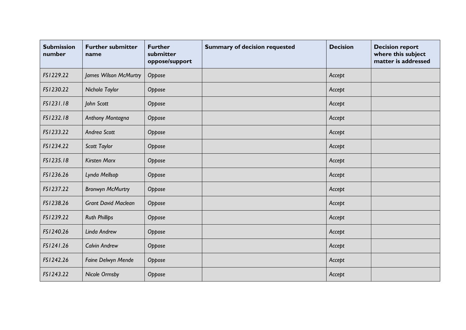| <b>Submission</b><br>number | <b>Further submitter</b><br>name | <b>Further</b><br>submitter<br>oppose/support | <b>Summary of decision requested</b> | <b>Decision</b> | <b>Decision report</b><br>where this subject<br>matter is addressed |
|-----------------------------|----------------------------------|-----------------------------------------------|--------------------------------------|-----------------|---------------------------------------------------------------------|
| FS1229.22                   | James Wilson McMurtry            | Oppose                                        |                                      | Accept          |                                                                     |
| FS1230.22                   | Nichola Taylor                   | Oppose                                        |                                      | Accept          |                                                                     |
| FS1231.18                   | John Scott                       | Oppose                                        |                                      | Accept          |                                                                     |
| FS1232.18                   | Anthony Montagna                 | Oppose                                        |                                      | Accept          |                                                                     |
| FS1233.22                   | Andrea Scott                     | Oppose                                        |                                      | Accept          |                                                                     |
| FS1234.22                   | Scott Taylor                     | Oppose                                        |                                      | Accept          |                                                                     |
| FS1235.18                   | <b>Kirsten Marx</b>              | Oppose                                        |                                      | Accept          |                                                                     |
| FS1236.26                   | Lynda Mellsop                    | Oppose                                        |                                      | Accept          |                                                                     |
| FS1237.22                   | <b>Bronwyn McMurtry</b>          | Oppose                                        |                                      | Accept          |                                                                     |
| FS1238.26                   | <b>Grant David Maclean</b>       | Oppose                                        |                                      | Accept          |                                                                     |
| FS1239.22                   | <b>Ruth Phillips</b>             | Oppose                                        |                                      | Accept          |                                                                     |
| FS1240.26                   | Linda Andrew                     | Oppose                                        |                                      | Accept          |                                                                     |
| FS1241.26                   | <b>Calvin Andrew</b>             | Oppose                                        |                                      | Accept          |                                                                     |
| FS1242.26                   | Faine Delwyn Mende               | Oppose                                        |                                      | Accept          |                                                                     |
| FS1243.22                   | <b>Nicole Ormsby</b>             | Oppose                                        |                                      | Accept          |                                                                     |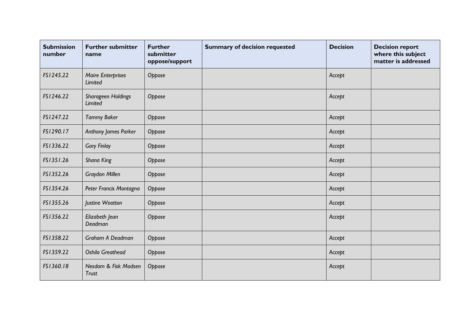| <b>Submission</b><br>number | <b>Further submitter</b><br>name           | <b>Further</b><br>submitter<br>oppose/support | <b>Summary of decision requested</b> | <b>Decision</b> | <b>Decision report</b><br>where this subject<br>matter is addressed |
|-----------------------------|--------------------------------------------|-----------------------------------------------|--------------------------------------|-----------------|---------------------------------------------------------------------|
| FS1245.22                   | <b>Maire Enterprises</b><br><b>Limited</b> | Oppose                                        |                                      | Accept          |                                                                     |
| FS1246.22                   | Sharageen Holdings<br>Limited              | Oppose                                        |                                      | Accept          |                                                                     |
| FS1247.22                   | <b>Tammy Baker</b>                         | Oppose                                        |                                      | Accept          |                                                                     |
| FS1290.17                   | Anthony James Parker                       | Oppose                                        |                                      | Accept          |                                                                     |
| FS1336.22                   | <b>Gary Finlay</b>                         | Oppose                                        |                                      | Accept          |                                                                     |
| FS1351.26                   | Shana King                                 | Oppose                                        |                                      | Accept          |                                                                     |
| FS1352.26                   | Graydon Millen                             | Oppose                                        |                                      | Accept          |                                                                     |
| FS1354.26                   | Peter Francis Montagna                     | Oppose                                        |                                      | Accept          |                                                                     |
| FS1355.26                   | Justine Wootton                            | Oppose                                        |                                      | Accept          |                                                                     |
| FS1356.22                   | Elizabeth Jean<br>Deadman                  | Oppose                                        |                                      | Accept          |                                                                     |
| FS1358.22                   | Graham A Deadman                           | Oppose                                        |                                      | Accept          |                                                                     |
| FS1359.22                   | <b>Oshila Greathead</b>                    | Oppose                                        |                                      | Accept          |                                                                     |
| FS1360.18                   | Nesdam & Fisk Madsen<br><b>Trust</b>       | Oppose                                        |                                      | Accept          |                                                                     |